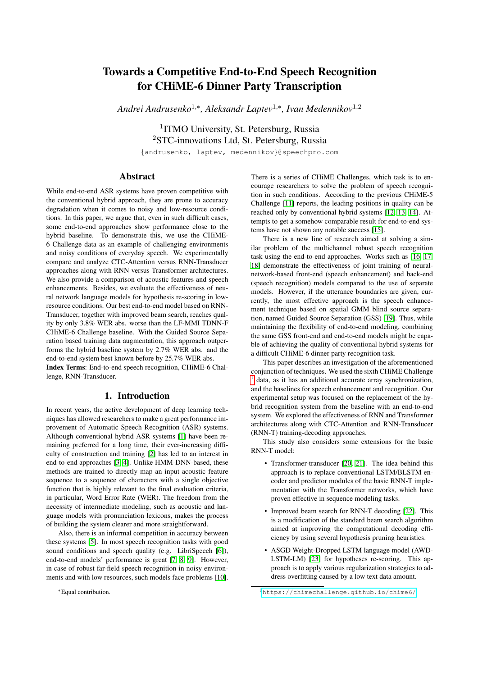# Towards a Competitive End-to-End Speech Recognition for CHiME-6 Dinner Party Transcription

*Andrei Andrusenko*<sup>1</sup>,<sup>∗</sup> *, Aleksandr Laptev*<sup>1</sup>,<sup>∗</sup> *, Ivan Medennikov*<sup>1</sup>,<sup>2</sup>

<sup>1</sup>ITMO University, St. Petersburg, Russia <sup>2</sup>STC-innovations Ltd, St. Petersburg, Russia

{andrusenko, laptev, medennikov}@speechpro.com

# Abstract

While end-to-end ASR systems have proven competitive with the conventional hybrid approach, they are prone to accuracy degradation when it comes to noisy and low-resource conditions. In this paper, we argue that, even in such difficult cases, some end-to-end approaches show performance close to the hybrid baseline. To demonstrate this, we use the CHiME-6 Challenge data as an example of challenging environments and noisy conditions of everyday speech. We experimentally compare and analyze CTC-Attention versus RNN-Transducer approaches along with RNN versus Transformer architectures. We also provide a comparison of acoustic features and speech enhancements. Besides, we evaluate the effectiveness of neural network language models for hypothesis re-scoring in lowresource conditions. Our best end-to-end model based on RNN-Transducer, together with improved beam search, reaches quality by only 3.8% WER abs. worse than the LF-MMI TDNN-F CHiME-6 Challenge baseline. With the Guided Source Separation based training data augmentation, this approach outperforms the hybrid baseline system by 2.7% WER abs. and the end-to-end system best known before by 25.7% WER abs. Index Terms: End-to-end speech recognition, CHiME-6 Challenge, RNN-Transducer.

## 1. Introduction

In recent years, the active development of deep learning techniques has allowed researchers to make a great performance improvement of Automatic Speech Recognition (ASR) systems. Although conventional hybrid ASR systems [\[1\]](#page-3-0) have been remaining preferred for a long time, their ever-increasing difficulty of construction and training [\[2\]](#page-4-0) has led to an interest in end-to-end approaches [\[3,](#page-4-1) [4\]](#page-4-2). Unlike HMM-DNN-based, these methods are trained to directly map an input acoustic feature sequence to a sequence of characters with a single objective function that is highly relevant to the final evaluation criteria, in particular, Word Error Rate (WER). The freedom from the necessity of intermediate modeling, such as acoustic and language models with pronunciation lexicons, makes the process of building the system clearer and more straightforward.

Also, there is an informal competition in accuracy between these systems [\[5\]](#page-4-3). In most speech recognition tasks with good sound conditions and speech quality (e.g. LibriSpeech [\[6\]](#page-4-4)), end-to-end models' performance is great [\[7,](#page-4-5) [8,](#page-4-6) [9\]](#page-4-7). However, in case of robust far-field speech recognition in noisy environments and with low resources, such models face problems [\[10\]](#page-4-8). There is a series of CHiME Challenges, which task is to encourage researchers to solve the problem of speech recognition in such conditions. According to the previous CHiME-5 Challenge [\[11\]](#page-4-9) reports, the leading positions in quality can be reached only by conventional hybrid systems [\[12,](#page-4-10) [13,](#page-4-11) [14\]](#page-4-12). Attempts to get a somehow comparable result for end-to-end systems have not shown any notable success [\[15\]](#page-4-13).

There is a new line of research aimed at solving a similar problem of the multichannel robust speech recognition task using the end-to-end approaches. Works such as [\[16,](#page-4-14) [17,](#page-4-15) [18\]](#page-4-16) demonstrate the effectiveness of joint training of neuralnetwork-based front-end (speech enhancement) and back-end (speech recognition) models compared to the use of separate models. However, if the utterance boundaries are given, currently, the most effective approach is the speech enhancement technique based on spatial GMM blind source separation, named Guided Source Separation (GSS) [\[19\]](#page-4-17). Thus, while maintaining the flexibility of end-to-end modeling, combining the same GSS front-end and end-to-end models might be capable of achieving the quality of conventional hybrid systems for a difficult CHiME-6 dinner party recognition task.

This paper describes an investigation of the aforementioned conjunction of techniques. We used the sixth CHiME Challenge [1](#page-0-0) data, as it has an additional accurate array synchronization, and the baselines for speech enhancement and recognition. Our experimental setup was focused on the replacement of the hybrid recognition system from the baseline with an end-to-end system. We explored the effectiveness of RNN and Transformer architectures along with CTC-Attention and RNN-Transducer (RNN-T) training-decoding approaches.

This study also considers some extensions for the basic RNN-T model:

- Transformer-transducer [\[20,](#page-4-18) [21\]](#page-4-19). The idea behind this approach is to replace conventional LSTM/BLSTM encoder and predictor modules of the basic RNN-T implementation with the Transformer networks, which have proven effective in sequence modeling tasks.
- Improved beam search for RNN-T decoding [\[22\]](#page-4-20). This is a modification of the standard beam search algorithm aimed at improving the computational decoding efficiency by using several hypothesis pruning heuristics.
- ASGD Weight-Dropped LSTM language model (AWD-LSTM-LM) [\[23\]](#page-4-21) for hypotheses re-scoring. This approach is to apply various regularization strategies to address overfitting caused by a low text data amount.

<sup>∗</sup>Equal contribution.

<span id="page-0-0"></span><sup>1</sup><https://chimechallenge.github.io/chime6/>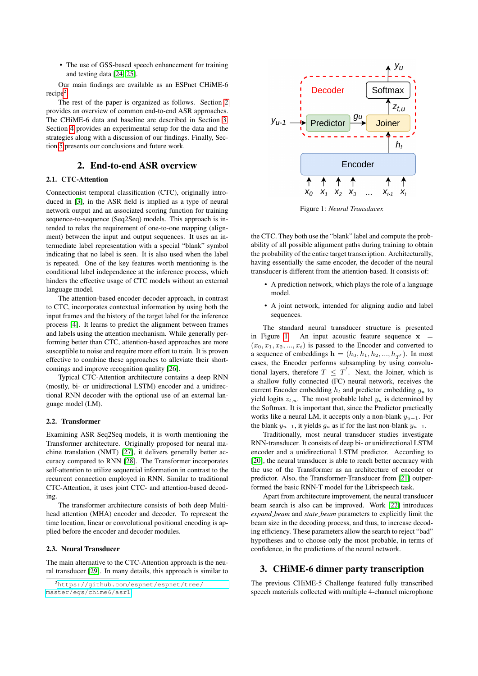• The use of GSS-based speech enhancement for training and testing data [\[24,](#page-4-22) [25\]](#page-4-23).

Our main findings are available as an ESPnet CHiME-6 recipe<sup>[2](#page-1-0)</sup>.

The rest of the paper is organized as follows. Section [2](#page-1-1) provides an overview of common end-to-end ASR approaches. The CHiME-6 data and baseline are described in Section [3.](#page-1-2) Section [4](#page-2-0) provides an experimental setup for the data and the strategies along with a discussion of our findings. Finally, Section [5](#page-3-1) presents our conclusions and future work.

# 2. End-to-end ASR overview

## <span id="page-1-1"></span>2.1. CTC-Attention

Connectionist temporal classification (CTC), originally introduced in [\[3\]](#page-4-1), in the ASR field is implied as a type of neural network output and an associated scoring function for training sequence-to-sequence (Seq2Seq) models. This approach is intended to relax the requirement of one-to-one mapping (alignment) between the input and output sequences. It uses an intermediate label representation with a special "blank" symbol indicating that no label is seen. It is also used when the label is repeated. One of the key features worth mentioning is the conditional label independence at the inference process, which hinders the effective usage of CTC models without an external language model.

The attention-based encoder-decoder approach, in contrast to CTC, incorporates contextual information by using both the input frames and the history of the target label for the inference process [\[4\]](#page-4-2). It learns to predict the alignment between frames and labels using the attention mechanism. While generally performing better than CTC, attention-based approaches are more susceptible to noise and require more effort to train. It is proven effective to combine these approaches to alleviate their shortcomings and improve recognition quality [\[26\]](#page-4-24).

Typical CTC-Attention architecture contains a deep RNN (mostly, bi- or unidirectional LSTM) encoder and a unidirectional RNN decoder with the optional use of an external language model (LM).

#### 2.2. Transformer

Examining ASR Seq2Seq models, it is worth mentioning the Transformer architecture. Originally proposed for neural machine translation (NMT) [\[27\]](#page-4-25), it delivers generally better accuracy compared to RNN [\[28\]](#page-4-26). The Transformer incorporates self-attention to utilize sequential information in contrast to the recurrent connection employed in RNN. Similar to traditional CTC-Attention, it uses joint CTC- and attention-based decoding.

The transformer architecture consists of both deep Multihead attention (MHA) encoder and decoder. To represent the time location, linear or convolutional positional encoding is applied before the encoder and decoder modules.

#### 2.3. Neural Transducer

The main alternative to the CTC-Attention approach is the neural transducer [\[29\]](#page-4-27). In many details, this approach is similar to

<span id="page-1-3"></span>

Figure 1: *Neural Transducer.*

the CTC. They both use the "blank" label and compute the probability of all possible alignment paths during training to obtain the probability of the entire target transcription. Architecturally, having essentially the same encoder, the decoder of the neural transducer is different from the attention-based. It consists of:

- A prediction network, which plays the role of a language model.
- A joint network, intended for aligning audio and label sequences.

The standard neural transducer structure is presented in Figure [1.](#page-1-3) An input acoustic feature sequence  $x =$  $(x_0, x_1, x_2, ..., x_t)$  is passed to the Encoder and converted to a sequence of embeddings  $\mathbf{h} = (h_0, h_1, h_2, ..., h_{T'})$ . In most cases, the Encoder performs subsampling by using convolutional layers, therefore  $T \leq T'$ . Next, the Joiner, which is a shallow fully connected (FC) neural network, receives the current Encoder embedding  $h_t$  and predictor embedding  $g_u$  to yield logits  $z_{t,u}$ . The most probable label  $y_u$  is determined by the Softmax. It is important that, since the Predictor practically works like a neural LM, it accepts only a non-blank  $y_{u-1}$ . For the blank  $y_{u-1}$ , it yields  $g_u$  as if for the last non-blank  $y_{u-1}$ .

Traditionally, most neural transducer studies investigate RNN-transducer. It consists of deep bi- or unidirectional LSTM encoder and a unidirectional LSTM predictor. According to [\[20\]](#page-4-18), the neural transducer is able to reach better accuracy with the use of the Transformer as an architecture of encoder or predictor. Also, the Transformer-Transducer from [\[21\]](#page-4-19) outperformed the basic RNN-T model for the Librispeech task.

Apart from architecture improvement, the neural transducer beam search is also can be improved. Work [\[22\]](#page-4-20) introduces *expand beam* and *state beam* parameters to explicitly limit the beam size in the decoding process, and thus, to increase decoding efficiency. These parameters allow the search to reject "bad" hypotheses and to choose only the most probable, in terms of confidence, in the predictions of the neural network.

## <span id="page-1-2"></span>3. CHiME-6 dinner party transcription

The previous CHiME-5 Challenge featured fully transcribed speech materials collected with multiple 4-channel microphone

<span id="page-1-0"></span><sup>2</sup>[https://github.com/espnet/espnet/tree/](https://github.com/espnet/espnet/tree/master/egs/chime6/asr1) [master/egs/chime6/asr1](https://github.com/espnet/espnet/tree/master/egs/chime6/asr1)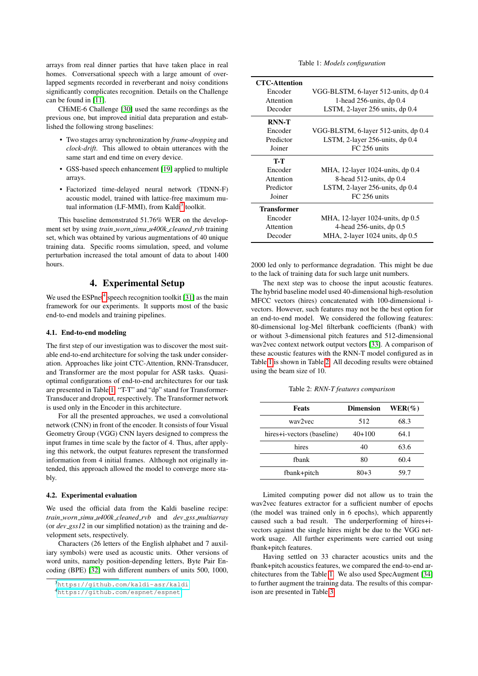arrays from real dinner parties that have taken place in real homes. Conversational speech with a large amount of overlapped segments recorded in reverberant and noisy conditions significantly complicates recognition. Details on the Challenge can be found in [\[11\]](#page-4-9).

CHiME-6 Challenge [\[30\]](#page-4-28) used the same recordings as the previous one, but improved initial data preparation and established the following strong baselines:

- Two stages array synchronization by *frame-dropping* and *clock-drift*. This allowed to obtain utterances with the same start and end time on every device.
- GSS-based speech enhancement [\[19\]](#page-4-17) applied to multiple arrays.
- Factorized time-delayed neural network (TDNN-F) acoustic model, trained with lattice-free maximum mu-tual information (LF-MMI), from Kaldi<sup>[3](#page-2-1)</sup> toolkit.

This baseline demonstrated 51.76% WER on the development set by using *train worn simu u400k cleaned rvb* training set, which was obtained by various augmentations of 40 unique training data. Specific rooms simulation, speed, and volume perturbation increased the total amount of data to about 1400 hours.

# 4. Experimental Setup

<span id="page-2-0"></span>We used the  $ESPnet<sup>4</sup>$  $ESPnet<sup>4</sup>$  $ESPnet<sup>4</sup>$  speech recognition toolkit [\[31\]](#page-4-29) as the main framework for our experiments. It supports most of the basic end-to-end models and training pipelines.

#### 4.1. End-to-end modeling

The first step of our investigation was to discover the most suitable end-to-end architecture for solving the task under consideration. Approaches like joint CTC-Attention, RNN-Transducer, and Transformer are the most popular for ASR tasks. Quasioptimal configurations of end-to-end architectures for our task are presented in Table [1.](#page-2-3) "T-T" and "dp" stand for Transformer-Transducer and dropout, respectively. The Transformer network is used only in the Encoder in this architecture.

For all the presented approaches, we used a convolutional network (CNN) in front of the encoder. It consists of four Visual Geometry Group (VGG) CNN layers designed to compress the input frames in time scale by the factor of 4. Thus, after applying this network, the output features represent the transformed information from 4 initial frames. Although not originally intended, this approach allowed the model to converge more stably.

#### 4.2. Experimental evaluation

We used the official data from the Kaldi baseline recipe: *train worn simu u400k cleaned rvb* and *dev gss multiarray* (or *dev gss12* in our simplified notation) as the training and development sets, respectively.

Characters (26 letters of the English alphabet and 7 auxiliary symbols) were used as acoustic units. Other versions of word units, namely position-depending letters, Byte Pair Encoding (BPE) [\[32\]](#page-4-30) with different numbers of units 500, 1000, Table 1: *Models configuration*

<span id="page-2-3"></span>

| <b>CTC-Attention</b> |                                      |  |  |
|----------------------|--------------------------------------|--|--|
| Encoder              | VGG-BLSTM, 6-layer 512-units, dp 0.4 |  |  |
| Attention            | 1-head $256$ -units, dp $0.4$        |  |  |
| Decoder              | LSTM, 2-layer 256 units, dp 0.4      |  |  |
| <b>RNN-T</b>         |                                      |  |  |
| Encoder              | VGG-BLSTM, 6-layer 512-units, dp 0.4 |  |  |
| Predictor            | LSTM, 2-layer 256-units, dp 0.4      |  |  |
| Joiner               | FC 256 units                         |  |  |
| T-T                  |                                      |  |  |
| Encoder              | MHA, 12-layer 1024-units, dp 0.4     |  |  |
| Attention            | 8-head $512$ -units, dp 0.4          |  |  |
| Predictor            | LSTM, 2-layer $256$ -units, dp $0.4$ |  |  |
| Joiner               | FC 256 units                         |  |  |
| <b>Transformer</b>   |                                      |  |  |
| Encoder              | MHA, 12-layer 1024-units, dp 0.5     |  |  |
| Attention            | 4-head $256$ -units, dp $0.5$        |  |  |
| Decoder              | MHA, 2-layer 1024 units, dp 0.5      |  |  |

2000 led only to performance degradation. This might be due to the lack of training data for such large unit numbers.

The next step was to choose the input acoustic features. The hybrid baseline model used 40-dimensional high-resolution MFCC vectors (hires) concatenated with 100-dimensional ivectors. However, such features may not be the best option for an end-to-end model. We considered the following features: 80-dimensional log-Mel filterbank coefficients (fbank) with or without 3-dimensional pitch features and 512-dimensional wav2vec context network output vectors [\[33\]](#page-4-31). A comparison of these acoustic features with the RNN-T model configured as in Table [1](#page-2-3) is shown in Table [2.](#page-2-4) All decoding results were obtained using the beam size of 10.

Table 2: *RNN-T features comparison*

<span id="page-2-4"></span>

| <b>Feats</b>               | <b>Dimension</b> | $WER(\%)$ |
|----------------------------|------------------|-----------|
| way2yec                    | 512              | 68.3      |
| hires+i-vectors (baseline) | $40+100$         | 64.1      |
| hires                      | 40               | 63.6      |
| fhank                      | 80               | 60.4      |
| fbank+pitch                | $80+3$           | 59.7      |

Limited computing power did not allow us to train the wav2vec features extractor for a sufficient number of epochs (the model was trained only in 6 epochs), which apparently caused such a bad result. The underperforming of hires+ivectors against the single hires might be due to the VGG network usage. All further experiments were carried out using fbank+pitch features.

Having settled on 33 character acoustics units and the fbank+pitch acoustics features, we compared the end-to-end architectures from the Table [1.](#page-2-3) We also used SpecAugment [\[34\]](#page-4-32) to further augment the training data. The results of this comparison are presented in Table [3.](#page-3-2)

<span id="page-2-1"></span><sup>3</sup><https://github.com/kaldi-asr/kaldi>

<span id="page-2-2"></span><sup>4</sup><https://github.com/espnet/espnet>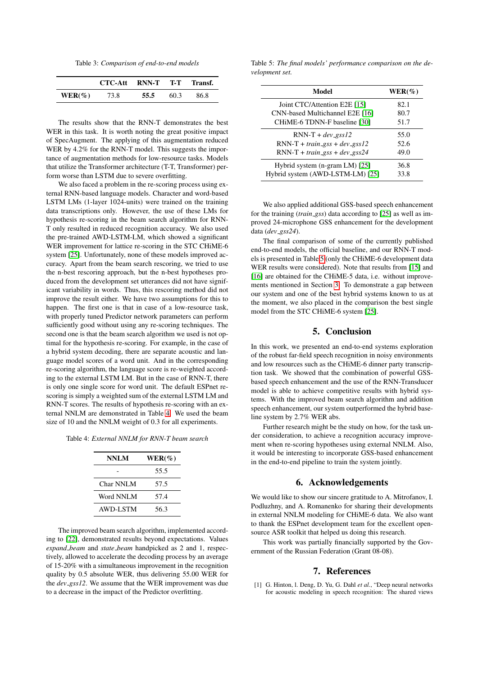Table 3: *Comparison of end-to-end models*

<span id="page-3-2"></span>

|           | CTC-Att RNN-T T-T Transf. |      |      |      |
|-----------|---------------------------|------|------|------|
| $WER(\%)$ | 73.8                      | 55.5 | 60.3 | 86.8 |

The results show that the RNN-T demonstrates the best WER in this task. It is worth noting the great positive impact of SpecAugment. The applying of this augmentation reduced WER by 4.2% for the RNN-T model. This suggests the importance of augmentation methods for low-resource tasks. Models that utilize the Transformer architecture (T-T, Transformer) perform worse than LSTM due to severe overfitting.

We also faced a problem in the re-scoring process using external RNN-based language models. Character and word-based LSTM LMs (1-layer 1024-units) were trained on the training data transcriptions only. However, the use of these LMs for hypothesis re-scoring in the beam search algorithm for RNN-T only resulted in reduced recognition accuracy. We also used the pre-trained AWD-LSTM-LM, which showed a significant WER improvement for lattice re-scoring in the STC CHiME-6 system [\[25\]](#page-4-23). Unfortunately, none of these models improved accuracy. Apart from the beam search rescoring, we tried to use the n-best rescoring approach, but the n-best hypotheses produced from the development set utterances did not have significant variability in words. Thus, this rescoring method did not improve the result either. We have two assumptions for this to happen. The first one is that in case of a low-resource task, with properly tuned Predictor network parameters can perform sufficiently good without using any re-scoring techniques. The second one is that the beam search algorithm we used is not optimal for the hypothesis re-scoring. For example, in the case of a hybrid system decoding, there are separate acoustic and language model scores of a word unit. And in the corresponding re-scoring algorithm, the language score is re-weighted according to the external LSTM LM. But in the case of RNN-T, there is only one single score for word unit. The default ESPnet rescoring is simply a weighted sum of the external LSTM LM and RNN-T scores. The results of hypothesis re-scoring with an external NNLM are demonstrated in Table [4.](#page-3-3) We used the beam size of 10 and the NNLM weight of 0.3 for all experiments.

<span id="page-3-3"></span>Table 4: *External NNLM for RNN-T beam search*

| <b>NNLM</b> | $WER(\%)$ |
|-------------|-----------|
|             | 55.5      |
| Char NNLM   | 57.5      |
| Word NNLM   | 57.4      |
| AWD-LSTM    | 56.3      |

The improved beam search algorithm, implemented according to [\[22\]](#page-4-20), demonstrated results beyond expectations. Values *expand beam* and *state beam* handpicked as 2 and 1, respectively, allowed to accelerate the decoding process by an average of 15-20% with a simultaneous improvement in the recognition quality by 0.5 absolute WER, thus delivering 55.00 WER for the *dev gss12*. We assume that the WER improvement was due to a decrease in the impact of the Predictor overfitting.

<span id="page-3-4"></span>Table 5: *The final models' performance comparison on the development set.*

| Model                                 | $WER(\%)$ |
|---------------------------------------|-----------|
| Joint CTC/Attention E2E [15]          | 82.1      |
| CNN-based Multichannel E2E [16]       | 80.7      |
| CHiME-6 TDNN-F baseline [30]          | 51.7      |
| $RNN-T + dev_{\text{gSS}}12$          | 55.0      |
| $RNN-T + train_{.}gss + dev_{.}gss12$ | 52.6      |
| $RNN-T + train_{.}$ gss + dev_gss24   | 49.0      |
| Hybrid system (n-gram LM) [25]        | 36.8      |
| Hybrid system (AWD-LSTM-LM) [25]      | 33.8      |

We also applied additional GSS-based speech enhancement for the training (*train gss*) data according to [\[25\]](#page-4-23) as well as improved 24-microphone GSS enhancement for the development data (*dev gss24*).

The final comparison of some of the currently published end-to-end models, the official baseline, and our RNN-T models is presented in Table [5](#page-3-4) (only the CHiME-6 development data WER results were considered). Note that results from [\[15\]](#page-4-13) and [\[16\]](#page-4-14) are obtained for the CHiME-5 data, i.e. without improvements mentioned in Section [3.](#page-1-2) To demonstrate a gap between our system and one of the best hybrid systems known to us at the moment, we also placed in the comparison the best single model from the STC CHiME-6 system [\[25\]](#page-4-23).

# 5. Conclusion

<span id="page-3-1"></span>In this work, we presented an end-to-end systems exploration of the robust far-field speech recognition in noisy environments and low resources such as the CHiME-6 dinner party transcription task. We showed that the combination of powerful GSSbased speech enhancement and the use of the RNN-Transducer model is able to achieve competitive results with hybrid systems. With the improved beam search algorithm and addition speech enhancement, our system outperformed the hybrid baseline system by 2.7% WER abs.

Further research might be the study on how, for the task under consideration, to achieve a recognition accuracy improvement when re-scoring hypotheses using external NNLM. Also, it would be interesting to incorporate GSS-based enhancement in the end-to-end pipeline to train the system jointly.

### 6. Acknowledgements

We would like to show our sincere gratitude to A. Mitrofanov, I. Podluzhny, and A. Romanenko for sharing their developments in external NNLM modeling for CHiME-6 data. We also want to thank the ESPnet development team for the excellent opensource ASR toolkit that helped us doing this research.

This work was partially financially supported by the Government of the Russian Federation (Grant 08-08).

## 7. References

<span id="page-3-0"></span>[1] G. Hinton, l. Deng, D. Yu, G. Dahl *et al.*, "Deep neural networks for acoustic modeling in speech recognition: The shared views